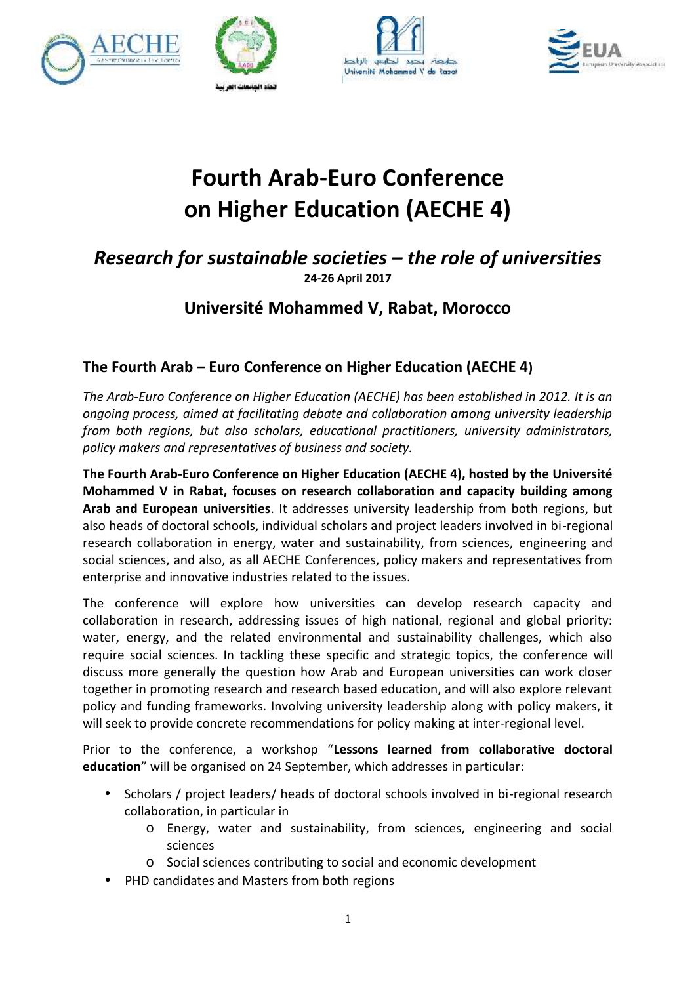





# **Fourth Arab-Euro Conference on Higher Education (AECHE 4)**

### *Research for sustainable societies – the role of universities* **24-26 April 2017**

### **Université Mohammed V, Rabat, Morocco**

#### **The Fourth Arab – Euro Conference on Higher Education (AECHE 4)**

*The Arab-Euro Conference on Higher Education (AECHE) has been established in 2012. It is an ongoing process, aimed at facilitating debate and collaboration among university leadership from both regions, but also scholars, educational practitioners, university administrators, policy makers and representatives of business and society.*

**The Fourth Arab-Euro Conference on Higher Education (AECHE 4), hosted by the Université Conference Mohammed V in Rabat, focuses on research collaboration and capacity building among Arab and European universities**. It addresses university leadership from both regions, but also heads of doctoral schools, individual scholars and project leaders involved in bi-regional research collaboration in energy, water and sustainability, from sciences, engineering and social sciences, and also, as all AECHE Conferences, policy makers and representatives from enterprise and innovative industries related to the issues. of doctoral schools, individual scholars and project leaders involved in bi-regional<br>bllaboration in energy, water and sustainability, from sciences, engineering and<br>ces, and also, as all AECHE Conferences, policy makers a

The conference will explore how universities can develop research capacity and collaboration in research, addressing issues of high national, regional and global priority: water, energy, and the related environmental and sustainability challenges, which also require social sciences. In tackling these specific and strategic topics, the conference will discuss more generally the question how Arab and European universities can work closer together in promoting research and research based education, and will also explore relevant policy and funding frameworks. Involving university leadership along with policy makers, it will seek to provide concrete recommendations for policy making at inter-regional level. **Fourth Arab-Euro Conference on Higher Education (AECHE 4)**<br> **Exercent for sustainable societies – the role of universities**<br> **Driversité Mohammed V, Rabat, Morocco**<br> **Fourth Arab** -Euro Conference on Higher Education (A ise and innovative industries related to the issues.<br>
Inference will explore how universities can develop research capacity and<br>
ration in research, addressing issues of high national, regional and global priority:<br>
energy er in promoting research and research based education, and will also explore relevant<br>and funding frameworks. Involving university leadership along with policy makers, it<br>ek to provide concrete recommendations for policy m

Prior to the conference, a workshop "**Lessons learned from collaborative doctoral education**" will be organised on 24 September, which addresses in particular:

- cation" will be organised on 24 September, which addresses in particular:<br>• Scholars / project leaders/ heads of doctoral schools involved in bi-regional research collaboration, in particular in collaboration, in particular
	- o Energy, water and sustainability, from sciences, engineering and social sciences er and sustainability, from sciences, engineering<br>es contributing to social and economic development<br>Masters from both regions
	- o Social sciences contributing to social and economic development
- PHD candidates and Masters from both regions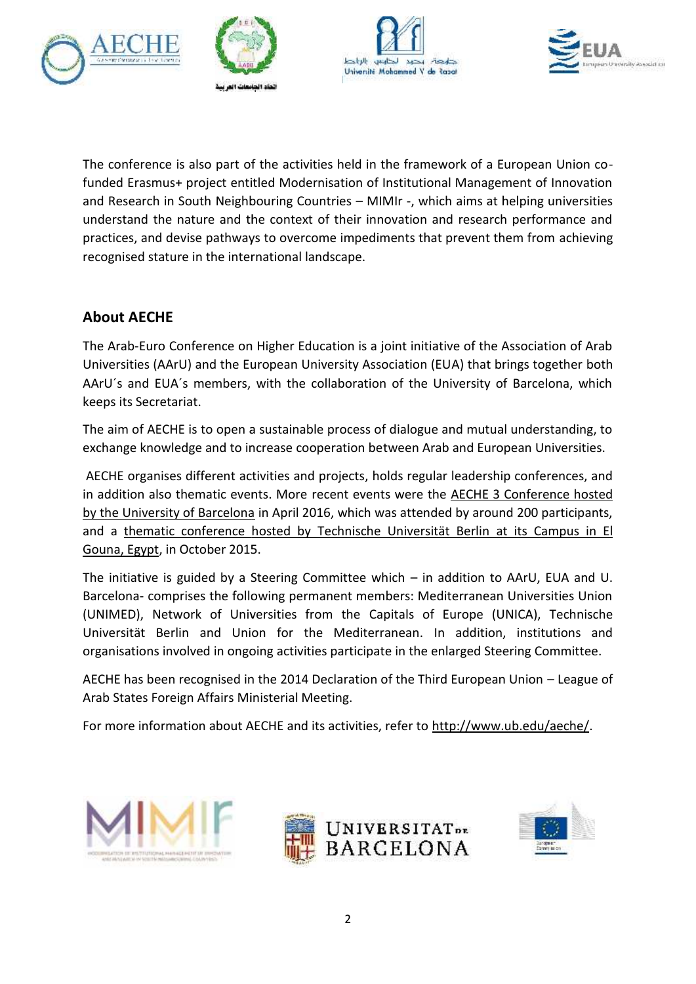







The conference is also part of the activities held in the framework of a European Union cofunded Erasmus+ project entitled Modernisation of Institutional Management of Innovation and Research in South Neighbouring Countries – MIMIr -, which aims at helping universities understand the nature and the context of their innovation and research performance and practices, and devise pathways to overcome impediments that prevent them from achieving recognised stature in the international landscape. conference is also part of the activities held in the framework of a European Union conference is also part of the term of the framework co-<br>
ed Erasmus + projet entitled Modernstation of Institutional Maragement of Innova funded Erasmus+ project entitled Modernisation of Institutional Management of Innovation<br>and Research in South Neighbouring Countries – MIMIr -, which aims at helping universities<br>understand the nature and the context of t

#### **About AECHE**

The Arab-Euro Conference on Higher Education is a joint initiative of the Association of Arab Universities (AArU) and the European University Association (EUA) that brings together both AArU´s and EUA´s members, with the collaboration of the University of Barcelona, which keeps its Secretariat.

The aim of AECHE is to open a sustainable process of dialogue and mutual understanding, to exchange knowledge and to increase cooperation between Arab and European Universities.

AECHE organises different activities and projects, holds regular leadership conferences, and in addition also thematic events. More recent events were the AECHE 3 Conference hosted by the University of Barcelona in April 2016, which was attended by around 200 participants, in addition also thematic events. More recent events were the <u>AECHE 3 Conference hosted</u><br>by the University of Barcelona in April 2016, which was attended by around 200 participants,<br>and a thematic conference hosted by Tec Gouna, Egypt, in October 2015. is aim of AECHE is to open a sustainable process of dialogue and mutual understanding, to<br>change knowledge and to increase cooperation between Arab and European Universities.<br>CHE organises different activities and projects

The initiative is guided by a Steering Committee which – in addition to AArU, EUA and U. Barcelona- comprises the following permanent members: Mediterranean Universities Union Barcelona- comprises the following permanent members: Mediterranean Universities Union<br>(UNIMED), Network of Universities from the Capitals of Europe (UNICA), Technische Universität Berlin and Union for the Mediterranean. In addition, institutions and organisations involved in ongoing activities participate in the enlarged Steering Committee.

AECHE has been recognised in the 2014 Declaration of the Third European Union – League of Arab States Foreign Affairs Ministerial Meeting. organisations involved in ongoing activities participate in the enlarged Steering Committee.<br>AECHE has been recognised in the 2014 Declaration of the Third European Union – League of<br>Arab States Foreign Affairs Ministerial





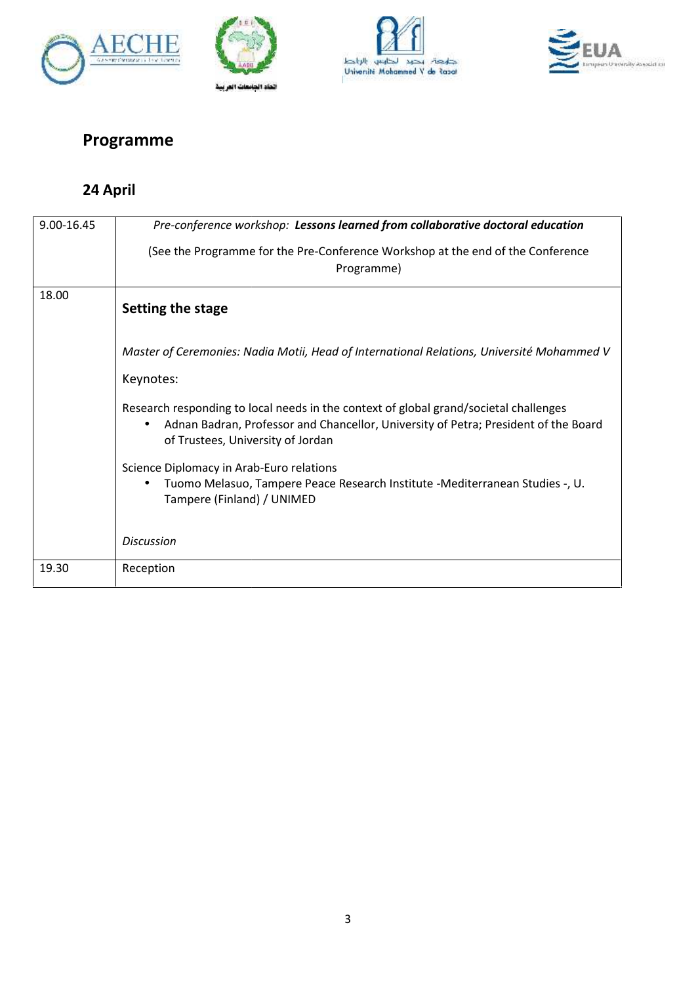







## **Programme**

### **24 April**

| 9.00-16.45 | Pre-conference workshop: Lessons learned from collaborative doctoral education                                                                                                                                                 |
|------------|--------------------------------------------------------------------------------------------------------------------------------------------------------------------------------------------------------------------------------|
|            | (See the Programme for the Pre-Conference Workshop at the end of the Conference<br>Programme)                                                                                                                                  |
| 18.00      | Setting the stage                                                                                                                                                                                                              |
|            | Master of Ceremonies: Nadia Motii, Head of International Relations, Université Mohammed V                                                                                                                                      |
|            | Keynotes:                                                                                                                                                                                                                      |
|            | Research responding to local needs in the context of global grand/societal challenges<br>Adnan Badran, Professor and Chancellor, University of Petra; President of the Board<br>$\bullet$<br>of Trustees, University of Jordan |
|            | Science Diplomacy in Arab-Euro relations<br>Tuomo Melasuo, Tampere Peace Research Institute -Mediterranean Studies -, U.<br>$\bullet$<br>Tampere (Finland) / UNIMED                                                            |
|            | <b>Discussion</b>                                                                                                                                                                                                              |
| 19.30      | Reception                                                                                                                                                                                                                      |
|            |                                                                                                                                                                                                                                |
|            |                                                                                                                                                                                                                                |
|            |                                                                                                                                                                                                                                |
|            | 3                                                                                                                                                                                                                              |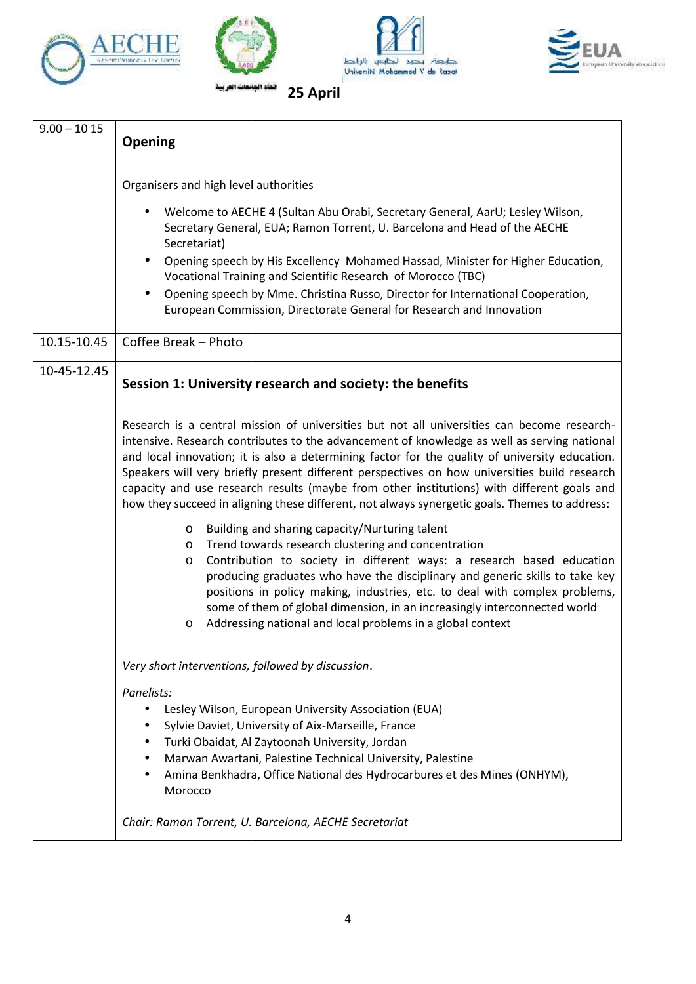







|             | Opening                                                                                                                                                                                                                                                                                                                                                                                                                                                                                                                                                                                     |
|-------------|---------------------------------------------------------------------------------------------------------------------------------------------------------------------------------------------------------------------------------------------------------------------------------------------------------------------------------------------------------------------------------------------------------------------------------------------------------------------------------------------------------------------------------------------------------------------------------------------|
|             | Organisers and high level authorities                                                                                                                                                                                                                                                                                                                                                                                                                                                                                                                                                       |
|             | Welcome to AECHE 4 (Sultan Abu Orabi, Secretary General, AarU; Lesley Wilson,<br>$\bullet$<br>Secretary General, EUA; Ramon Torrent, U. Barcelona and Head of the AECHE<br>Secretariat)                                                                                                                                                                                                                                                                                                                                                                                                     |
|             | Opening speech by His Excellency Mohamed Hassad, Minister for Higher Education,<br>$\bullet$<br>Vocational Training and Scientific Research of Morocco (TBC)<br>$\bullet$                                                                                                                                                                                                                                                                                                                                                                                                                   |
|             | Opening speech by Mme. Christina Russo, Director for International Cooperation,<br>European Commission, Directorate General for Research and Innovation                                                                                                                                                                                                                                                                                                                                                                                                                                     |
| 10.15-10.45 | Coffee Break - Photo                                                                                                                                                                                                                                                                                                                                                                                                                                                                                                                                                                        |
| 10-45-12.45 | Session 1: University research and society: the benefits                                                                                                                                                                                                                                                                                                                                                                                                                                                                                                                                    |
|             | Research is a central mission of universities but not all universities can become research-<br>intensive. Research contributes to the advancement of knowledge as well as serving national<br>and local innovation; it is also a determining factor for the quality of university education.<br>Speakers will very briefly present different perspectives on how universities build research<br>capacity and use research results (maybe from other institutions) with different goals and<br>how they succeed in aligning these different, not always synergetic goals. Themes to address: |
|             | Building and sharing capacity/Nurturing talent<br>$\circ$<br>Trend towards research clustering and concentration<br>$\circ$<br>Contribution to society in different ways: a research based education<br>O<br>producing graduates who have the disciplinary and generic skills to take key<br>positions in policy making, industries, etc. to deal with complex problems,<br>some of them of global dimension, in an increasingly interconnected world<br>Addressing national and local problems in a global context                                                                         |
|             | Very short interventions, followed by discussion.                                                                                                                                                                                                                                                                                                                                                                                                                                                                                                                                           |
|             | Panelists:<br>Lesley Wilson, European University Association (EUA)<br>٠<br>Sylvie Daviet, University of Aix-Marseille, France<br>Turki Obaidat, Al Zaytoonah University, Jordan<br>$\bullet$<br>Marwan Awartani, Palestine Technical University, Palestine<br>Amina Benkhadra, Office National des Hydrocarbures et des Mines (ONHYM),<br>Morocco                                                                                                                                                                                                                                           |
|             | Chair: Ramon Torrent, U. Barcelona, AECHE Secretariat                                                                                                                                                                                                                                                                                                                                                                                                                                                                                                                                       |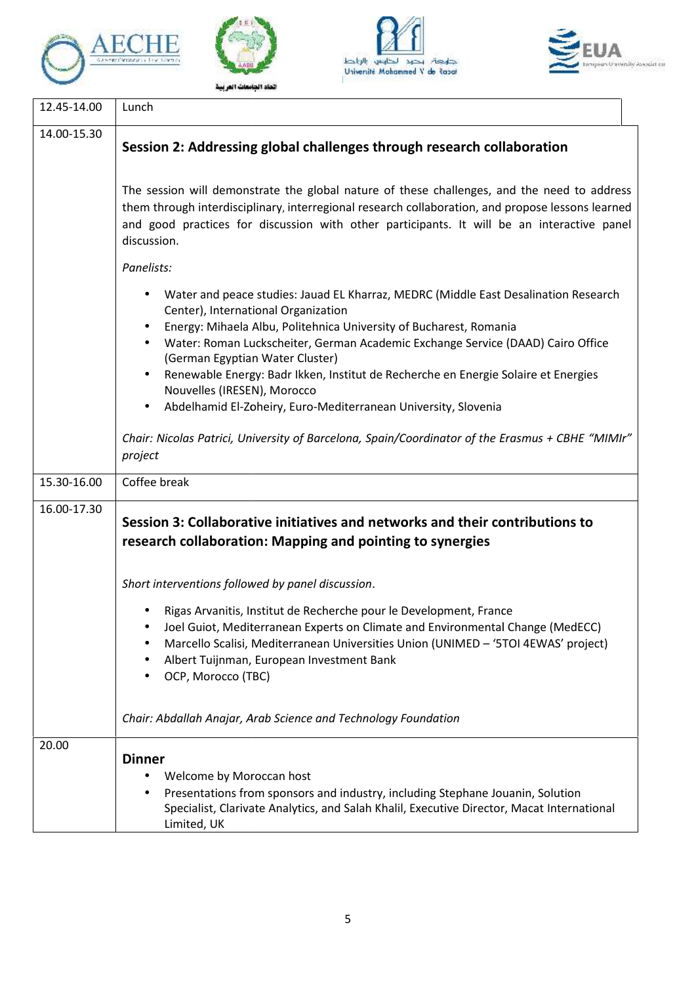







|             | Lunch                                                                                                                                                                                                                                                                                                                                                                                                                                                                                                         |
|-------------|---------------------------------------------------------------------------------------------------------------------------------------------------------------------------------------------------------------------------------------------------------------------------------------------------------------------------------------------------------------------------------------------------------------------------------------------------------------------------------------------------------------|
| 14.00-15.30 | Session 2: Addressing global challenges through research collaboration                                                                                                                                                                                                                                                                                                                                                                                                                                        |
|             | The session will demonstrate the global nature of these challenges, and the need to address<br>them through interdisciplinary, interregional research collaboration, and propose lessons learned<br>and good practices for discussion with other participants. It will be an interactive panel<br>discussion.                                                                                                                                                                                                 |
|             | Panelists:                                                                                                                                                                                                                                                                                                                                                                                                                                                                                                    |
|             | Water and peace studies: Jauad EL Kharraz, MEDRC (Middle East Desalination Research<br>Center), International Organization<br>Energy: Mihaela Albu, Politehnica University of Bucharest, Romania<br>Water: Roman Luckscheiter, German Academic Exchange Service (DAAD) Cairo Office<br>(German Egyptian Water Cluster)<br>Renewable Energy: Badr Ikken, Institut de Recherche en Energie Solaire et Energies<br>Nouvelles (IRESEN), Morocco<br>Abdelhamid El-Zoheiry, Euro-Mediterranean University, Slovenia |
|             | Chair: Nicolas Patrici, University of Barcelona, Spain/Coordinator of the Erasmus + CBHE "MIMIr"                                                                                                                                                                                                                                                                                                                                                                                                              |
|             | project                                                                                                                                                                                                                                                                                                                                                                                                                                                                                                       |
| 15.30-16.00 | Coffee break                                                                                                                                                                                                                                                                                                                                                                                                                                                                                                  |
|             |                                                                                                                                                                                                                                                                                                                                                                                                                                                                                                               |
|             | Session 3: Collaborative initiatives and networks and their contributions to<br>research collaboration: Mapping and pointing to synergies                                                                                                                                                                                                                                                                                                                                                                     |
|             | Short interventions followed by panel discussion.                                                                                                                                                                                                                                                                                                                                                                                                                                                             |
| 16.00-17.30 | Rigas Arvanitis, Institut de Recherche pour le Development, France<br>Joel Guiot, Mediterranean Experts on Climate and Environmental Change (MedECC)<br>Marcello Scalisi, Mediterranean Universities Union (UNIMED - '5TOI 4EWAS' project)<br>Albert Tuijnman, European Investment Bank<br>OCP, Morocco (TBC)                                                                                                                                                                                                 |
|             | Chair: Abdallah Anajar, Arab Science and Technology Foundation                                                                                                                                                                                                                                                                                                                                                                                                                                                |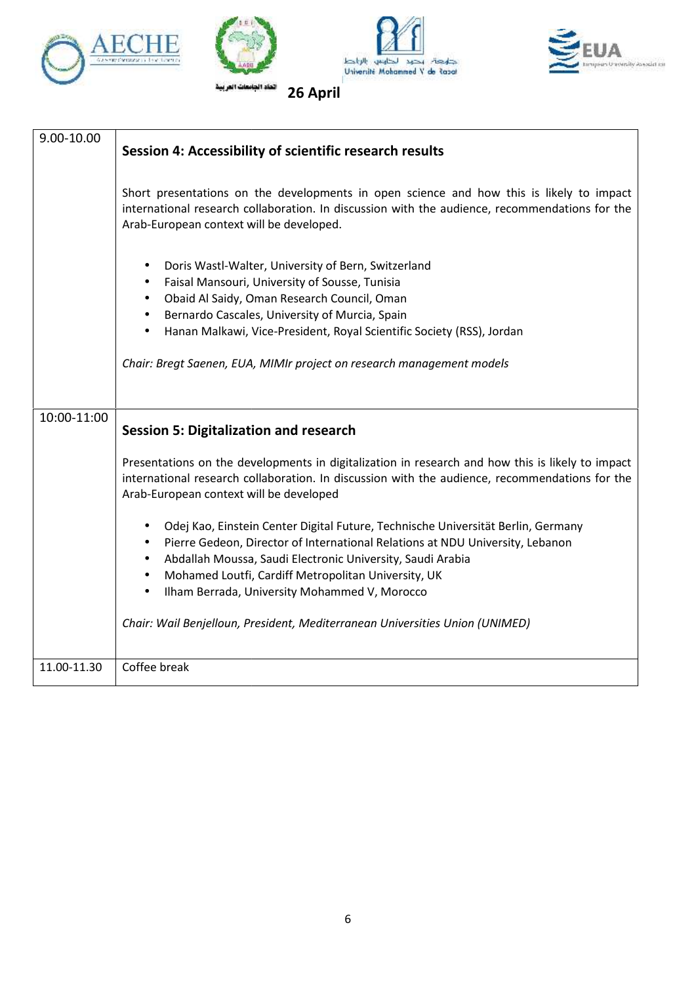







| Arab-European context will be developed.<br>Doris Wastl-Walter, University of Bern, Switzerland<br>$\bullet$<br>Faisal Mansouri, University of Sousse, Tunisia<br>٠<br>Obaid Al Saidy, Oman Research Council, Oman<br>$\bullet$<br>Bernardo Cascales, University of Murcia, Spain<br>$\bullet$<br>Hanan Malkawi, Vice-President, Royal Scientific Society (RSS), Jordan<br>٠<br>Chair: Bregt Saenen, EUA, MIMIr project on research management models<br><b>Session 5: Digitalization and research</b><br>Arab-European context will be developed<br>Odej Kao, Einstein Center Digital Future, Technische Universität Berlin, Germany<br>٠<br>Pierre Gedeon, Director of International Relations at NDU University, Lebanon<br>٠<br>Abdallah Moussa, Saudi Electronic University, Saudi Arabia<br>$\bullet$<br>Mohamed Loutfi, Cardiff Metropolitan University, UK<br>$\bullet$<br>Ilham Berrada, University Mohammed V, Morocco<br>$\bullet$<br>Chair: Wail Benjelloun, President, Mediterranean Universities Union (UNIMED) | Coffee break | 9.00-10.00  | Session 4: Accessibility of scientific research results                                                                                                                                            |
|-------------------------------------------------------------------------------------------------------------------------------------------------------------------------------------------------------------------------------------------------------------------------------------------------------------------------------------------------------------------------------------------------------------------------------------------------------------------------------------------------------------------------------------------------------------------------------------------------------------------------------------------------------------------------------------------------------------------------------------------------------------------------------------------------------------------------------------------------------------------------------------------------------------------------------------------------------------------------------------------------------------------------------|--------------|-------------|----------------------------------------------------------------------------------------------------------------------------------------------------------------------------------------------------|
|                                                                                                                                                                                                                                                                                                                                                                                                                                                                                                                                                                                                                                                                                                                                                                                                                                                                                                                                                                                                                               |              |             | Short presentations on the developments in open science and how this is likely to impact<br>international research collaboration. In discussion with the audience, recommendations for the         |
|                                                                                                                                                                                                                                                                                                                                                                                                                                                                                                                                                                                                                                                                                                                                                                                                                                                                                                                                                                                                                               |              |             |                                                                                                                                                                                                    |
|                                                                                                                                                                                                                                                                                                                                                                                                                                                                                                                                                                                                                                                                                                                                                                                                                                                                                                                                                                                                                               |              |             |                                                                                                                                                                                                    |
|                                                                                                                                                                                                                                                                                                                                                                                                                                                                                                                                                                                                                                                                                                                                                                                                                                                                                                                                                                                                                               |              | 10:00-11:00 |                                                                                                                                                                                                    |
|                                                                                                                                                                                                                                                                                                                                                                                                                                                                                                                                                                                                                                                                                                                                                                                                                                                                                                                                                                                                                               | 11.00-11.30  |             | Presentations on the developments in digitalization in research and how this is likely to impact<br>international research collaboration. In discussion with the audience, recommendations for the |
|                                                                                                                                                                                                                                                                                                                                                                                                                                                                                                                                                                                                                                                                                                                                                                                                                                                                                                                                                                                                                               |              |             |                                                                                                                                                                                                    |
|                                                                                                                                                                                                                                                                                                                                                                                                                                                                                                                                                                                                                                                                                                                                                                                                                                                                                                                                                                                                                               |              |             |                                                                                                                                                                                                    |
|                                                                                                                                                                                                                                                                                                                                                                                                                                                                                                                                                                                                                                                                                                                                                                                                                                                                                                                                                                                                                               |              |             |                                                                                                                                                                                                    |
|                                                                                                                                                                                                                                                                                                                                                                                                                                                                                                                                                                                                                                                                                                                                                                                                                                                                                                                                                                                                                               |              |             |                                                                                                                                                                                                    |
|                                                                                                                                                                                                                                                                                                                                                                                                                                                                                                                                                                                                                                                                                                                                                                                                                                                                                                                                                                                                                               |              |             |                                                                                                                                                                                                    |
|                                                                                                                                                                                                                                                                                                                                                                                                                                                                                                                                                                                                                                                                                                                                                                                                                                                                                                                                                                                                                               |              |             |                                                                                                                                                                                                    |
|                                                                                                                                                                                                                                                                                                                                                                                                                                                                                                                                                                                                                                                                                                                                                                                                                                                                                                                                                                                                                               | 6            |             |                                                                                                                                                                                                    |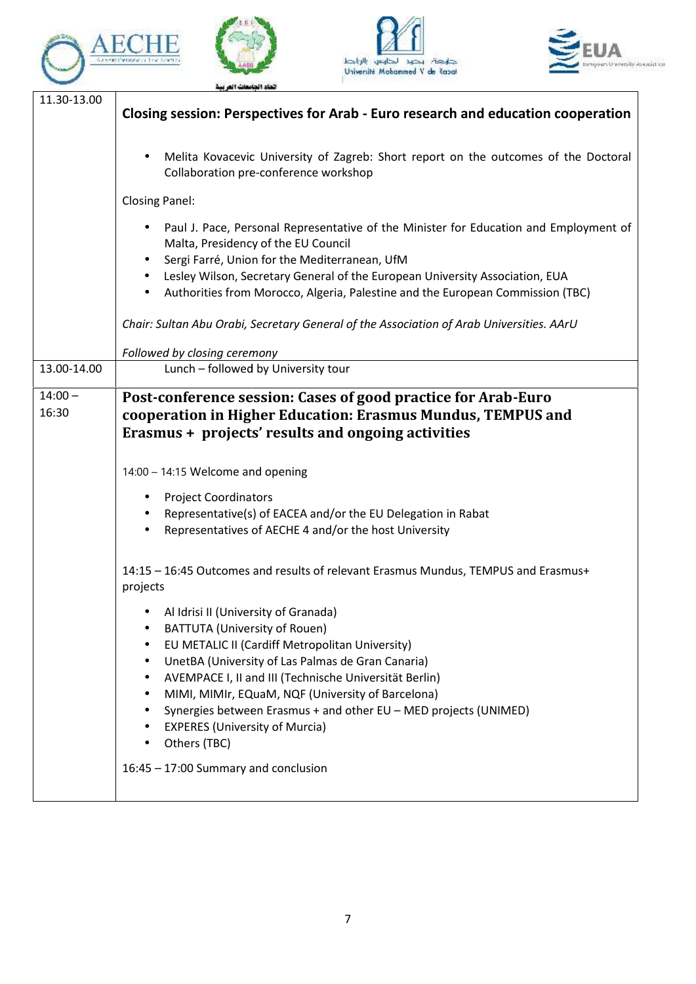







|                    | Closing session: Perspectives for Arab - Euro research and education cooperation                                                                                                                                                                                                                                                                                                                                                   |
|--------------------|------------------------------------------------------------------------------------------------------------------------------------------------------------------------------------------------------------------------------------------------------------------------------------------------------------------------------------------------------------------------------------------------------------------------------------|
|                    | Melita Kovacevic University of Zagreb: Short report on the outcomes of the Doctoral<br>$\bullet$<br>Collaboration pre-conference workshop                                                                                                                                                                                                                                                                                          |
|                    | <b>Closing Panel:</b>                                                                                                                                                                                                                                                                                                                                                                                                              |
|                    | Paul J. Pace, Personal Representative of the Minister for Education and Employment of<br>Malta, Presidency of the EU Council<br>Sergi Farré, Union for the Mediterranean, UfM<br>Lesley Wilson, Secretary General of the European University Association, EUA<br>$\bullet$                                                                                                                                                         |
|                    | Authorities from Morocco, Algeria, Palestine and the European Commission (TBC)<br>٠<br>Chair: Sultan Abu Orabi, Secretary General of the Association of Arab Universities. AArU                                                                                                                                                                                                                                                    |
|                    | Followed by closing ceremony                                                                                                                                                                                                                                                                                                                                                                                                       |
| 13.00-14.00        | Lunch - followed by University tour                                                                                                                                                                                                                                                                                                                                                                                                |
| $14:00 -$<br>16:30 | Post-conference session: Cases of good practice for Arab-Euro<br>cooperation in Higher Education: Erasmus Mundus, TEMPUS and<br>Erasmus + projects' results and ongoing activities                                                                                                                                                                                                                                                 |
|                    | 14:00 - 14:15 Welcome and opening                                                                                                                                                                                                                                                                                                                                                                                                  |
|                    | <b>Project Coordinators</b><br>Representative(s) of EACEA and/or the EU Delegation in Rabat<br>$\bullet$<br>Representatives of AECHE 4 and/or the host University<br>$\bullet$                                                                                                                                                                                                                                                     |
|                    | 14:15 - 16:45 Outcomes and results of relevant Erasmus Mundus, TEMPUS and Erasmus+<br>projects                                                                                                                                                                                                                                                                                                                                     |
|                    | • Al Idrisi II (University of Granada)<br><b>BATTUTA (University of Rouen)</b><br>EU METALIC II (Cardiff Metropolitan University)<br>UnetBA (University of Las Palmas de Gran Canaria)<br>AVEMPACE I, II and III (Technische Universität Berlin)<br>MIMI, MIMIr, EQuaM, NQF (University of Barcelona)<br>Synergies between Erasmus + and other EU - MED projects (UNIMED)<br><b>EXPERES (University of Murcia)</b><br>Others (TBC) |
|                    | 16:45 - 17:00 Summary and conclusion                                                                                                                                                                                                                                                                                                                                                                                               |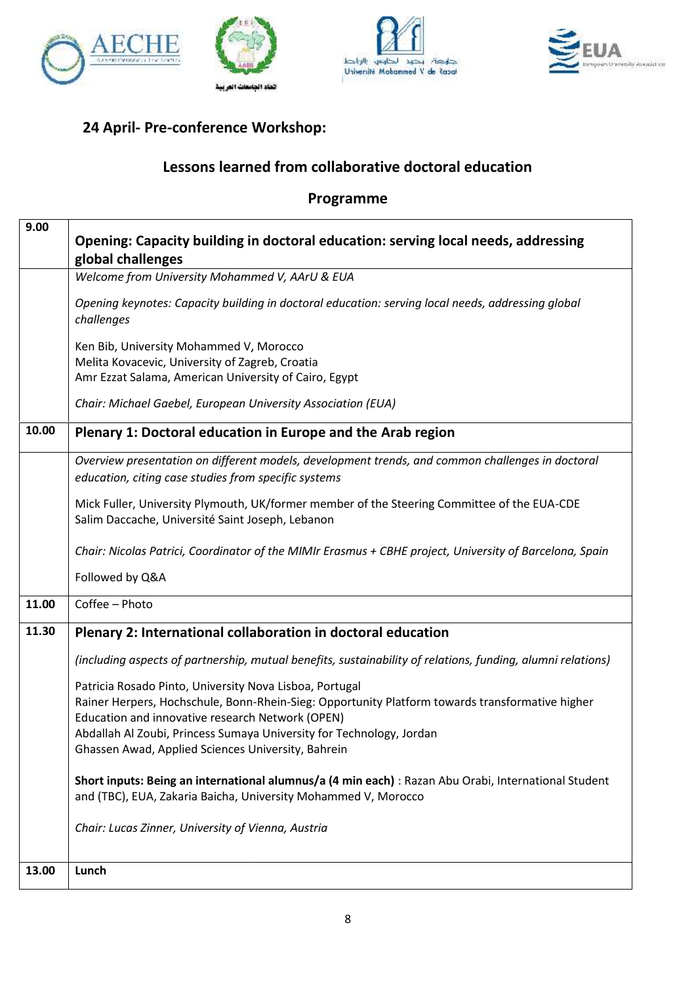





### **24 April- Pre-conference Workshop:**

#### **Lessons learned from collaborative doctoral education**

#### **Programme Programme**

|       | Lessons learned from collaborative doctoral education                                                                                                                                                          |
|-------|----------------------------------------------------------------------------------------------------------------------------------------------------------------------------------------------------------------|
|       | Programme                                                                                                                                                                                                      |
| 9.00  | Opening: Capacity building in doctoral education: serving local needs, addressing<br>global challenges                                                                                                         |
|       | Welcome from University Mohammed V, AArU & EUA                                                                                                                                                                 |
|       | Opening keynotes: Capacity building in doctoral education: serving local needs, addressing global<br>challenges                                                                                                |
|       | Ken Bib, University Mohammed V, Morocco<br>Melita Kovacevic, University of Zagreb, Croatia<br>Amr Ezzat Salama, American University of Cairo, Egypt                                                            |
|       | Chair: Michael Gaebel, European University Association (EUA)                                                                                                                                                   |
| 10.00 | Plenary 1: Doctoral education in Europe and the Arab region                                                                                                                                                    |
|       | Overview presentation on different models, development trends, and common challenges in doctoral<br>education, citing case studies from specific systems                                                       |
|       | Mick Fuller, University Plymouth, UK/former member of the Steering Committee of the EUA-CDE<br>Salim Daccache, Université Saint Joseph, Lebanon                                                                |
|       | Chair: Nicolas Patrici, Coordinator of the MIMIr Erasmus + CBHE project, University of Barcelona, Spain                                                                                                        |
|       | Followed by Q&A                                                                                                                                                                                                |
| 11.00 | Coffee - Photo                                                                                                                                                                                                 |
| 11.30 | Plenary 2: International collaboration in doctoral education                                                                                                                                                   |
|       | (including aspects of partnership, mutual benefits, sustainability of relations, funding, alumni relations)                                                                                                    |
|       | Patricia Rosado Pinto, University Nova Lisboa, Portugal<br>Rainer Herpers, Hochschule, Bonn-Rhein-Sieg: Opportunity Platform towards transformative higher<br>Education and innovative research Network (OPEN) |
|       | Abdallah Al Zoubi, Princess Sumaya University for Technology, Jordan<br>Ghassen Awad, Applied Sciences University, Bahrein                                                                                     |
|       | Short inputs: Being an international alumnus/a (4 min each) : Razan Abu Orabi, International Student<br>and (TBC), EUA, Zakaria Baicha, University Mohammed V, Morocco                                         |
|       | Chair: Lucas Zinner, University of Vienna, Austria                                                                                                                                                             |
| 13.00 | Lunch                                                                                                                                                                                                          |